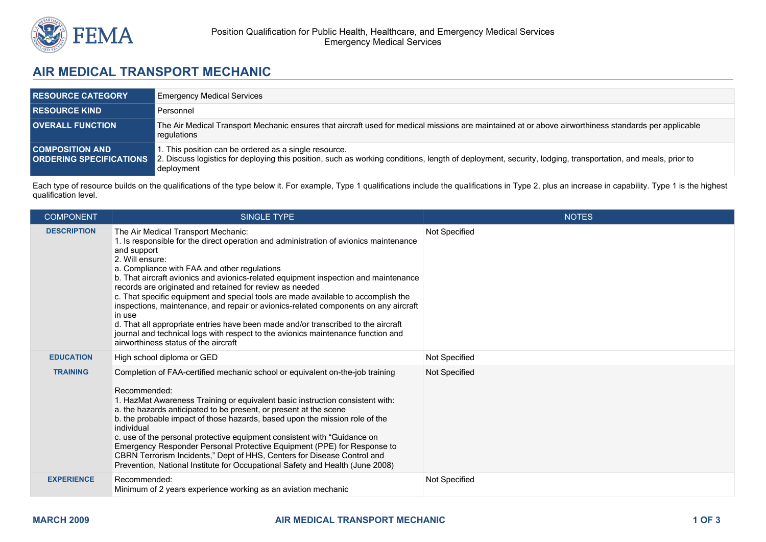

## **AIR MEDICAL TRANSPORT MECHANIC**

| <b>RESOURCE CATEGORY</b> | <b>Emergency Medical Services</b>                                                                                                                                                                                                                                |
|--------------------------|------------------------------------------------------------------------------------------------------------------------------------------------------------------------------------------------------------------------------------------------------------------|
| <b>RESOURCE KIND</b>     | Personnel                                                                                                                                                                                                                                                        |
| <b>OVERALL FUNCTION</b>  | The Air Medical Transport Mechanic ensures that aircraft used for medical missions are maintained at or above airworthiness standards per applicable<br>regulations                                                                                              |
| <b>COMPOSITION AND</b>   | 1. This position can be ordered as a single resource.<br><b>ORDERING SPECIFICATIONS</b> 2. Discuss logistics for deploying this position, such as working conditions, length of deployment, security, lodging, transportation, and meals, prior to<br>deployment |

Each type of resource builds on the qualifications of the type below it. For example, Type 1 qualifications include the qualifications in Type 2, plus an increase in capability. Type 1 is the highest qualification level.

| <b>COMPONENT</b>   | <b>SINGLE TYPE</b>                                                                                                                                                                                                                                                                                                                                                                                                                                                                                                                                                                                                                                                                                                                                                       | <b>NOTES</b>  |
|--------------------|--------------------------------------------------------------------------------------------------------------------------------------------------------------------------------------------------------------------------------------------------------------------------------------------------------------------------------------------------------------------------------------------------------------------------------------------------------------------------------------------------------------------------------------------------------------------------------------------------------------------------------------------------------------------------------------------------------------------------------------------------------------------------|---------------|
| <b>DESCRIPTION</b> | The Air Medical Transport Mechanic:<br>1. Is responsible for the direct operation and administration of avionics maintenance<br>and support<br>2. Will ensure:<br>a. Compliance with FAA and other regulations<br>b. That aircraft avionics and avionics-related equipment inspection and maintenance<br>records are originated and retained for review as needed<br>c. That specific equipment and special tools are made available to accomplish the<br>inspections, maintenance, and repair or avionics-related components on any aircraft<br>in use<br>d. That all appropriate entries have been made and/or transcribed to the aircraft<br>journal and technical logs with respect to the avionics maintenance function and<br>airworthiness status of the aircraft | Not Specified |
| <b>EDUCATION</b>   | High school diploma or GED                                                                                                                                                                                                                                                                                                                                                                                                                                                                                                                                                                                                                                                                                                                                               | Not Specified |
| <b>TRAINING</b>    | Completion of FAA-certified mechanic school or equivalent on-the-job training<br>Recommended:<br>1. HazMat Awareness Training or equivalent basic instruction consistent with:<br>a. the hazards anticipated to be present, or present at the scene<br>b. the probable impact of those hazards, based upon the mission role of the<br>individual<br>c. use of the personal protective equipment consistent with "Guidance on<br>Emergency Responder Personal Protective Equipment (PPE) for Response to<br>CBRN Terrorism Incidents," Dept of HHS, Centers for Disease Control and<br>Prevention, National Institute for Occupational Safety and Health (June 2008)                                                                                                      | Not Specified |
| <b>EXPERIENCE</b>  | Recommended:<br>Minimum of 2 years experience working as an aviation mechanic                                                                                                                                                                                                                                                                                                                                                                                                                                                                                                                                                                                                                                                                                            | Not Specified |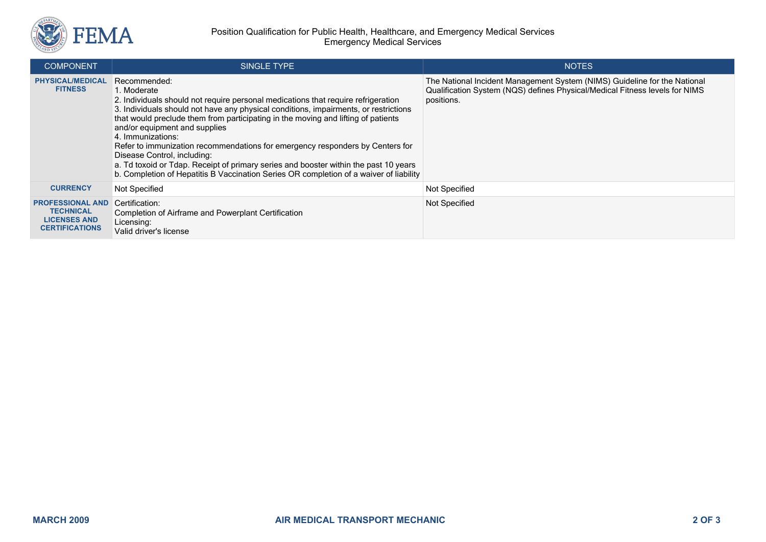

| <b>COMPONENT</b>                                                                            | <b>SINGLE TYPE</b>                                                                                                                                                                                                                                                                                                                                                                                                                                                                                                                                                                                                                                    | <b>NOTES</b>                                                                                                                                                           |
|---------------------------------------------------------------------------------------------|-------------------------------------------------------------------------------------------------------------------------------------------------------------------------------------------------------------------------------------------------------------------------------------------------------------------------------------------------------------------------------------------------------------------------------------------------------------------------------------------------------------------------------------------------------------------------------------------------------------------------------------------------------|------------------------------------------------------------------------------------------------------------------------------------------------------------------------|
| <b>PHYSICAL/MEDICAL</b><br><b>FITNESS</b>                                                   | Recommended:<br>1. Moderate<br>2. Individuals should not require personal medications that require refrigeration<br>3. Individuals should not have any physical conditions, impairments, or restrictions<br>that would preclude them from participating in the moving and lifting of patients<br>and/or equipment and supplies<br>4. Immunizations:<br>Refer to immunization recommendations for emergency responders by Centers for<br>Disease Control, including:<br>a. Td toxoid or Tdap. Receipt of primary series and booster within the past 10 years<br>b. Completion of Hepatitis B Vaccination Series OR completion of a waiver of liability | The National Incident Management System (NIMS) Guideline for the National<br>Qualification System (NQS) defines Physical/Medical Fitness levels for NIMS<br>positions. |
| <b>CURRENCY</b>                                                                             | <b>Not Specified</b>                                                                                                                                                                                                                                                                                                                                                                                                                                                                                                                                                                                                                                  | <b>Not Specified</b>                                                                                                                                                   |
| <b>PROFESSIONAL AND</b><br><b>TECHNICAL</b><br><b>LICENSES AND</b><br><b>CERTIFICATIONS</b> | Certification:<br>Completion of Airframe and Powerplant Certification<br>Licensing:<br>Valid driver's license                                                                                                                                                                                                                                                                                                                                                                                                                                                                                                                                         | Not Specified                                                                                                                                                          |